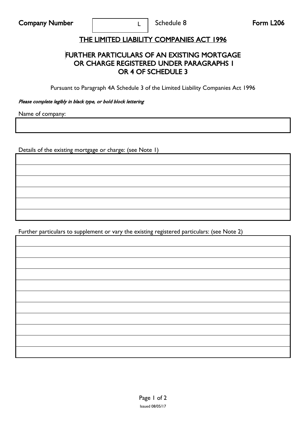## THE LIMITED LIABILITY COMPANIES ACT 1996

L

## FURTHER PARTICULARS OF AN EXISTING MORTGAGE OR CHARGE REGISTERED UNDER PARAGRAPHS 1 OR 4 OF SCHEDULE 3

Pursuant to Paragraph 4A Schedule 3 of the Limited Liability Companies Act 1996

Please complete legibly in black type, or bold block lettering

Name of company:

Details of the existing mortgage or charge: (see Note 1)

Further particulars to supplement or vary the existing registered particulars: (see Note 2)

| <u> 1988 - Ann an Dùbhlachd ann an Dùbhlachd ann an Dùbhlachd ann an Dùbhlachd ann an Dùbhlachd ann an Dùbhlachd </u> |  |  |
|-----------------------------------------------------------------------------------------------------------------------|--|--|
|                                                                                                                       |  |  |
| <u> 1988 - Ann an Dùbhlachd ann an Dùbhlachd ann an Dùbhlachd ann an Dùbhlachd ann an Dùbhlachd ann an Dùbhlachd</u>  |  |  |
| ,我们也不会不会不会不会不会不会不会不会不会不会不会不会不会不会不会。""我们的是我们的,我们也不会不会不会不会不会不会不会。""我们的是我们的,我们也不会不会                                      |  |  |
| <u> 1988 - Ann an Dùbhlachd ann an Dùbhlachd ann an Dùbhlachd ann an Dùbhlachd ann an Dùbhlachd ann an Dùbhlachd</u>  |  |  |
| ,我们也不会不会不会。""我们的,我们也不会不会不会不会。""我们的,我们也不会不会不会不会。""我们的,我们也不会不会不会不会。""我们的,我们也不会不会不会                                      |  |  |
|                                                                                                                       |  |  |
| <u> 1988 - Ann an Dùbhlachd ann an Dùbhlachd ann an Dùbhlachd ann an Dùbhlachd ann an Dùbhlachd ann an Dùbhlachd</u>  |  |  |
|                                                                                                                       |  |  |
|                                                                                                                       |  |  |
|                                                                                                                       |  |  |